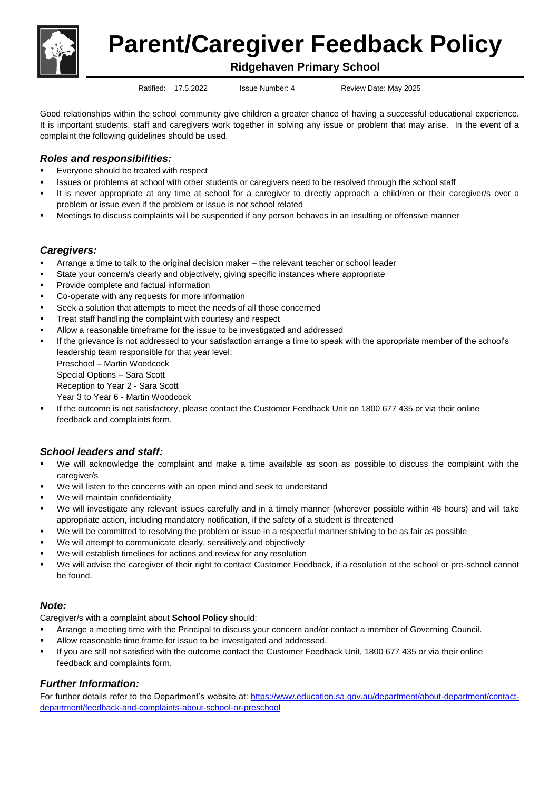

**Parent/Caregiver Feedback Policy**

## **Ridgehaven Primary School**

Ratified: 17.5.2022 Issue Number: 4 Review Date: May 2025

Good relationships within the school community give children a greater chance of having a successful educational experience. It is important students, staff and caregivers work together in solving any issue or problem that may arise. In the event of a complaint the following guidelines should be used.

# *Roles and responsibilities:*

- **Everyone should be treated with respect**
- Issues or problems at school with other students or caregivers need to be resolved through the school staff
- It is never appropriate at any time at school for a caregiver to directly approach a child/ren or their caregiver/s over a problem or issue even if the problem or issue is not school related
- Meetings to discuss complaints will be suspended if any person behaves in an insulting or offensive manner

### *Caregivers:*

- Arrange a time to talk to the original decision maker the relevant teacher or school leader
- State your concern/s clearly and objectively, giving specific instances where appropriate
- Provide complete and factual information
- Co-operate with any requests for more information
- Seek a solution that attempts to meet the needs of all those concerned
- Treat staff handling the complaint with courtesy and respect
- Allow a reasonable timeframe for the issue to be investigated and addressed
- If the grievance is not addressed to your satisfaction arrange a time to speak with the appropriate member of the school's leadership team responsible for that year level: Preschool – Martin Woodcock Special Options – Sara Scott Reception to Year 2 - Sara Scott Year 3 to Year 6 - Martin Woodcock
- If the outcome is not satisfactory, please contact the Customer Feedback Unit on 1800 677 435 or via their online feedback and complaints form.

## *School leaders and staff:*

- We will acknowledge the complaint and make a time available as soon as possible to discuss the complaint with the caregiver/s
- We will listen to the concerns with an open mind and seek to understand
- We will maintain confidentiality
- We will investigate any relevant issues carefully and in a timely manner (wherever possible within 48 hours) and will take appropriate action, including mandatory notification, if the safety of a student is threatened
- We will be committed to resolving the problem or issue in a respectful manner striving to be as fair as possible
- We will attempt to communicate clearly, sensitively and objectively
- We will establish timelines for actions and review for any resolution
- We will advise the caregiver of their right to contact Customer Feedback, if a resolution at the school or pre-school cannot be found.

## *Note:*

Caregiver/s with a complaint about **School Policy** should:

- Arrange a meeting time with the Principal to discuss your concern and/or contact a member of Governing Council.
- Allow reasonable time frame for issue to be investigated and addressed.
- If you are still not satisfied with the outcome contact the Customer Feedback Unit, 1800 677 435 or via their online feedback and complaints form.

## *Further Information:*

For further details refer to the Department's website at: [https://www.education.sa.gov.au/department/about-department/contact](https://www.education.sa.gov.au/department/about-department/contact-department/feedback-and-complaints-about-school-or-preschool)[department/feedback-and-complaints-about-school-or-preschool](https://www.education.sa.gov.au/department/about-department/contact-department/feedback-and-complaints-about-school-or-preschool)